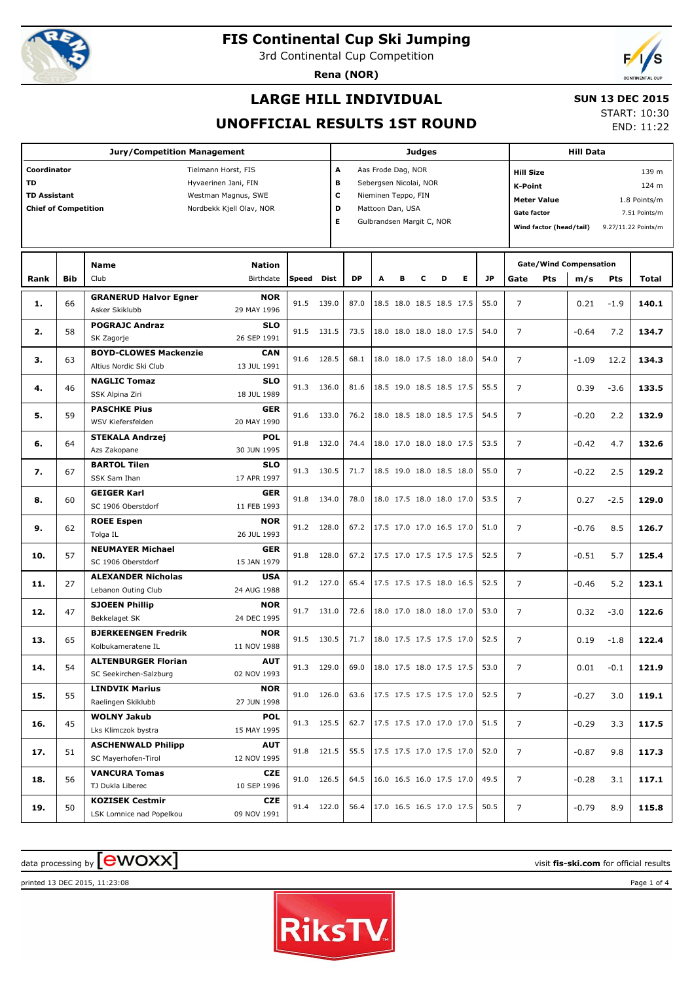

3rd Continental Cup Competition

**Rena (NOR)**



## **LARGE HILL INDIVIDUAL**

### **SUN 13 DEC 2015**

### **UNOFFICIAL RESULTS 1ST ROUND**

START: 10:30 END: 11:22

| <b>Jury/Competition Management</b>                                                                                                                                               |            |                                                        |                            |       |            |                                                                                                                                                |   | <b>Judges</b> |   |                          |   |                                                                                                                                                                                     |                |     | <b>Hill Data</b>                     |        |       |  |  |
|----------------------------------------------------------------------------------------------------------------------------------------------------------------------------------|------------|--------------------------------------------------------|----------------------------|-------|------------|------------------------------------------------------------------------------------------------------------------------------------------------|---|---------------|---|--------------------------|---|-------------------------------------------------------------------------------------------------------------------------------------------------------------------------------------|----------------|-----|--------------------------------------|--------|-------|--|--|
| Coordinator<br>Tielmann Horst, FIS<br><b>TD</b><br>Hyvaerinen Jani, FIN<br><b>TD Assistant</b><br>Westman Magnus, SWE<br><b>Chief of Competition</b><br>Nordbekk Kjell Olav, NOR |            |                                                        |                            |       |            | A<br>Aas Frode Dag, NOR<br>в<br>Sebergsen Nicolai, NOR<br>c<br>Nieminen Teppo, FIN<br>D<br>Mattoon Dan, USA<br>E.<br>Gulbrandsen Margit C, NOR |   |               |   |                          |   | <b>Hill Size</b><br>139 m<br><b>K-Point</b><br>124 m<br><b>Meter Value</b><br>1.8 Points/m<br><b>Gate factor</b><br>7.51 Points/m<br>Wind factor (head/tail)<br>9.27/11.22 Points/m |                |     |                                      |        |       |  |  |
| Rank                                                                                                                                                                             | <b>Bib</b> | <b>Name</b><br>Club                                    | <b>Nation</b><br>Birthdate | Speed | Dist       | DP                                                                                                                                             | A | в             | c | D                        | Е | <b>JP</b>                                                                                                                                                                           | Gate           | Pts | <b>Gate/Wind Compensation</b><br>m/s | Pts    | Total |  |  |
| 1.                                                                                                                                                                               | 66         | <b>GRANERUD Halvor Egner</b><br>Asker Skiklubb         | <b>NOR</b><br>29 MAY 1996  | 91.5  | 139.0      | 87.0                                                                                                                                           |   |               |   | 18.5 18.0 18.5 18.5 17.5 |   | 55.0                                                                                                                                                                                | $\overline{7}$ |     | 0.21                                 | $-1.9$ | 140.1 |  |  |
| 2.                                                                                                                                                                               | 58         | <b>POGRAJC Andraz</b><br>SK Zagorje                    | <b>SLO</b><br>26 SEP 1991  | 91.5  | 131.5      | 73.5                                                                                                                                           |   |               |   | 18.0 18.0 18.0 18.0 17.5 |   | 54.0                                                                                                                                                                                | $\overline{7}$ |     | $-0.64$                              | 7.2    | 134.7 |  |  |
| з.                                                                                                                                                                               | 63         | <b>BOYD-CLOWES Mackenzie</b><br>Altius Nordic Ski Club | <b>CAN</b><br>13 JUL 1991  | 91.6  | 128.5      | 68.1                                                                                                                                           |   |               |   | 18.0 18.0 17.5 18.0 18.0 |   | 54.0                                                                                                                                                                                | 7              |     | $-1.09$                              | 12.2   | 134.3 |  |  |
| 4.                                                                                                                                                                               | 46         | <b>NAGLIC Tomaz</b><br>SSK Alpina Ziri                 | <b>SLO</b><br>18 JUL 1989  | 91.3  | 136.0      | 81.6                                                                                                                                           |   |               |   | 18.5 19.0 18.5 18.5 17.5 |   | 55.5                                                                                                                                                                                | $\overline{7}$ |     | 0.39                                 | $-3.6$ | 133.5 |  |  |
| 5.                                                                                                                                                                               | 59         | <b>PASCHKE Pius</b><br>WSV Kiefersfelden               | <b>GER</b><br>20 MAY 1990  | 91.6  | 133.0      | 76.2                                                                                                                                           |   |               |   | 18.0 18.5 18.0 18.5 17.5 |   | 54.5                                                                                                                                                                                | 7              |     | $-0.20$                              | 2.2    | 132.9 |  |  |
| 6.                                                                                                                                                                               | 64         | <b>STEKALA Andrzej</b><br>Azs Zakopane                 | <b>POL</b><br>30 JUN 1995  | 91.8  | 132.0      | 74.4                                                                                                                                           |   |               |   | 18.0 17.0 18.0 18.0 17.5 |   | 53.5                                                                                                                                                                                | $\overline{7}$ |     | $-0.42$                              | 4.7    | 132.6 |  |  |
| 7.                                                                                                                                                                               | 67         | <b>BARTOL Tilen</b><br>SSK Sam Ihan                    | <b>SLO</b><br>17 APR 1997  | 91.3  | 130.5      | 71.7                                                                                                                                           |   |               |   | 18.5 19.0 18.0 18.5 18.0 |   | 55.0                                                                                                                                                                                | $\overline{7}$ |     | $-0.22$                              | 2.5    | 129.2 |  |  |
| 8.                                                                                                                                                                               | 60         | <b>GEIGER Karl</b><br>SC 1906 Oberstdorf               | <b>GER</b><br>11 FEB 1993  | 91.8  | 134.0      | 78.0                                                                                                                                           |   |               |   | 18.0 17.5 18.0 18.0 17.0 |   | 53.5                                                                                                                                                                                | 7              |     | 0.27                                 | $-2.5$ | 129.0 |  |  |
| 9.                                                                                                                                                                               | 62         | <b>ROEE Espen</b><br>Tolga IL                          | <b>NOR</b><br>26 JUL 1993  |       | 91.2 128.0 | 67.2                                                                                                                                           |   |               |   | 17.5 17.0 17.0 16.5 17.0 |   | 51.0                                                                                                                                                                                | $\overline{7}$ |     | $-0.76$                              | 8.5    | 126.7 |  |  |
| 10.                                                                                                                                                                              | 57         | <b>NEUMAYER Michael</b><br>SC 1906 Oberstdorf          | <b>GER</b><br>15 JAN 1979  | 91.8  | 128.0      | 67.2                                                                                                                                           |   |               |   | 17.5 17.0 17.5 17.5 17.5 |   | 52.5                                                                                                                                                                                | $\overline{7}$ |     | $-0.51$                              | 5.7    | 125.4 |  |  |
| 11.                                                                                                                                                                              | 27         | <b>ALEXANDER Nicholas</b><br>Lebanon Outing Club       | <b>USA</b><br>24 AUG 1988  |       | 91.2 127.0 | 65.4                                                                                                                                           |   |               |   | 17.5 17.5 17.5 18.0 16.5 |   | 52.5                                                                                                                                                                                | 7              |     | $-0.46$                              | 5.2    | 123.1 |  |  |
| 12.                                                                                                                                                                              | 47         | <b>SJOEEN Phillip</b><br>Bekkelaget SK                 | <b>NOR</b><br>24 DEC 1995  | 91.7  | 131.0      | 72.6                                                                                                                                           |   |               |   | 18.0 17.0 18.0 18.0 17.0 |   | 53.0                                                                                                                                                                                | $\overline{7}$ |     | 0.32                                 | $-3.0$ | 122.6 |  |  |
| 13.                                                                                                                                                                              | 65         | <b>BJERKEENGEN Fredrik</b><br>Kolbukameratene IL       | <b>NOR</b><br>11 NOV 1988  |       | 91.5 130.5 | 71.7                                                                                                                                           |   |               |   | 18.0 17.5 17.5 17.5 17.0 |   | 52.5                                                                                                                                                                                | 7              |     | 0.19                                 | $-1.8$ | 122.4 |  |  |
| 14.                                                                                                                                                                              | 54         | <b>ALTENBURGER Florian</b><br>SC Seekirchen-Salzburg   | AUT<br>02 NOV 1993         |       | 91.3 129.0 | 69.0                                                                                                                                           |   |               |   | 18.0 17.5 18.0 17.5 17.5 |   | 53.0                                                                                                                                                                                | 7              |     | 0.01                                 | $-0.1$ | 121.9 |  |  |
| 15.                                                                                                                                                                              | 55         | <b>LINDVIK Marius</b><br>Raelingen Skiklubb            | <b>NOR</b><br>27 JUN 1998  |       | 91.0 126.0 | 63.6                                                                                                                                           |   |               |   | 17.5 17.5 17.5 17.5 17.0 |   | 52.5                                                                                                                                                                                | $\overline{7}$ |     | $-0.27$                              | 3.0    | 119.1 |  |  |
| 16.                                                                                                                                                                              | 45         | <b>WOLNY Jakub</b><br>Lks Klimczok bystra              | POL<br>15 MAY 1995         |       | 91.3 125.5 | 62.7                                                                                                                                           |   |               |   | 17.5 17.5 17.0 17.0 17.0 |   | 51.5                                                                                                                                                                                | $\overline{7}$ |     | $-0.29$                              | 3.3    | 117.5 |  |  |
| 17.                                                                                                                                                                              | 51         | <b>ASCHENWALD Philipp</b><br>SC Mayerhofen-Tirol       | <b>AUT</b><br>12 NOV 1995  |       | 91.8 121.5 | 55.5                                                                                                                                           |   |               |   | 17.5 17.5 17.0 17.5 17.0 |   | 52.0                                                                                                                                                                                | 7              |     | $-0.87$                              | 9.8    | 117.3 |  |  |
| 18.                                                                                                                                                                              | 56         | <b>VANCURA Tomas</b><br>TJ Dukla Liberec               | <b>CZE</b><br>10 SEP 1996  |       | 91.0 126.5 | 64.5                                                                                                                                           |   |               |   | 16.0 16.5 16.0 17.5 17.0 |   | 49.5                                                                                                                                                                                | 7              |     | $-0.28$                              | 3.1    | 117.1 |  |  |
| 19.                                                                                                                                                                              | 50         | <b>KOZISEK Cestmir</b><br>LSK Lomnice nad Popelkou     | <b>CZE</b><br>09 NOV 1991  |       | 91.4 122.0 | 56.4                                                                                                                                           |   |               |   | 17.0 16.5 16.5 17.0 17.5 |   | 50.5                                                                                                                                                                                | 7              |     | $-0.79$                              | 8.9    | 115.8 |  |  |

# $\alpha$  data processing by  $\boxed{\text{ewOX}}$



printed 13 DEC 2015, 11:23:08 Page 1 of 4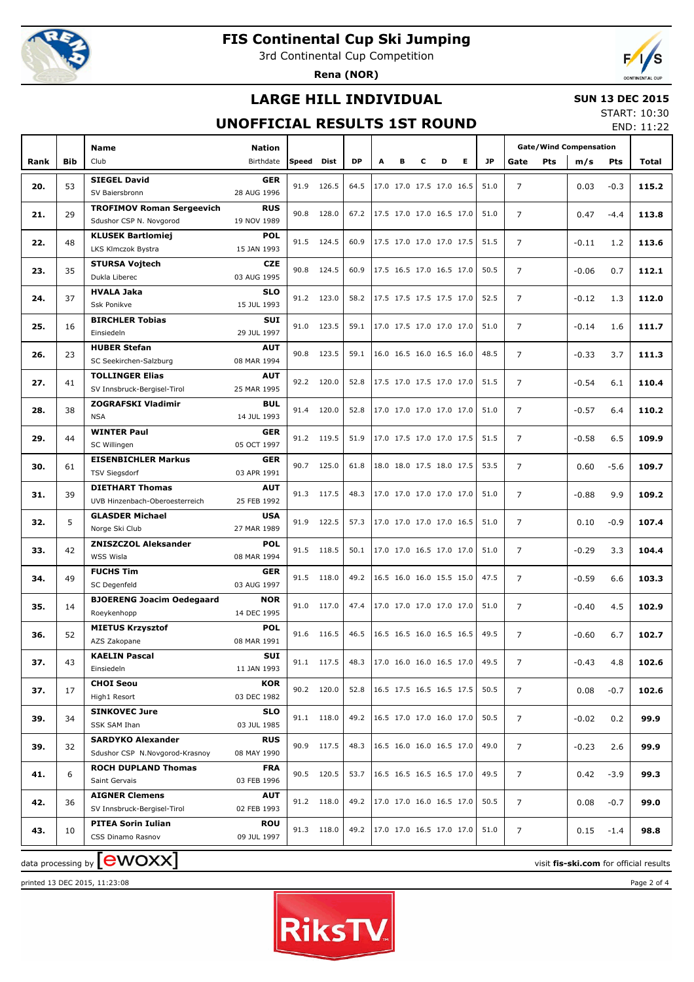

3rd Continental Cup Competition

**Rena (NOR)**



## **LARGE HILL INDIVIDUAL**

### **SUN 13 DEC 2015**

## **UNOFFICIAL RESULTS 1ST ROUND**

START: 10:30 END: 11:22

|      |            | <b>Name</b>                        | <b>Nation</b>             |      |               |      |   |                          |                          |                          |    |           | <b>Gate/Wind Compensation</b> |            |         |            |                                        |
|------|------------|------------------------------------|---------------------------|------|---------------|------|---|--------------------------|--------------------------|--------------------------|----|-----------|-------------------------------|------------|---------|------------|----------------------------------------|
| Rank | <b>Bib</b> | Club                               | Birthdate                 |      | Speed<br>Dist | DP   | A | в                        | c                        | D                        | E. | <b>JP</b> | Gate                          | <b>Pts</b> | m/s     | <b>Pts</b> | Total                                  |
|      |            | <b>SIEGEL David</b>                | <b>GER</b>                |      |               |      |   |                          |                          |                          |    |           |                               |            |         |            |                                        |
| 20.  | 53         | SV Baiersbronn                     | 28 AUG 1996               | 91.9 | 126.5         | 64.5 |   | 17.0 17.0 17.5 17.0 16.5 |                          |                          |    | 51.0      | $\overline{7}$                |            | 0.03    | $-0.3$     | 115.2                                  |
|      |            | <b>TROFIMOV Roman Sergeevich</b>   | <b>RUS</b>                |      |               |      |   |                          |                          |                          |    |           |                               |            |         |            |                                        |
| 21.  | 29         | Sdushor CSP N. Novgorod            | 19 NOV 1989               | 90.8 | 128.0         | 67.2 |   | 17.5 17.0 17.0 16.5 17.0 |                          |                          |    | 51.0      | 7                             |            | 0.47    | $-4.4$     | 113.8                                  |
|      |            | <b>KLUSEK Bartlomiej</b>           | <b>POL</b>                |      |               |      |   |                          |                          |                          |    |           |                               |            |         |            |                                        |
| 22.  | 48         | LKS Klmczok Bystra                 | 15 JAN 1993               | 91.5 | 124.5         | 60.9 |   | 17.5 17.0 17.0 17.0 17.5 |                          |                          |    | 51.5      | $\overline{7}$                |            | $-0.11$ | 1.2        | 113.6                                  |
|      |            | <b>STURSA Vojtech</b>              | <b>CZE</b>                |      |               |      |   |                          |                          |                          |    |           |                               |            |         |            |                                        |
| 23.  | 35         | Dukla Liberec                      | 03 AUG 1995               | 90.8 | 124.5         | 60.9 |   | 17.5 16.5 17.0 16.5 17.0 |                          |                          |    | 50.5      | $\overline{7}$                |            | $-0.06$ | 0.7        | 112.1                                  |
| 24.  | 37         | <b>HVALA Jaka</b>                  | <b>SLO</b>                |      | 91.2 123.0    | 58.2 |   |                          | 17.5 17.5 17.5 17.5 17.0 |                          |    | 52.5      | 7                             |            | $-0.12$ | 1.3        | 112.0                                  |
|      |            | <b>Ssk Ponikve</b>                 | 15 JUL 1993               |      |               |      |   |                          |                          |                          |    |           |                               |            |         |            |                                        |
| 25.  | 16         | <b>BIRCHLER Tobias</b>             | <b>SUI</b>                | 91.0 | 123.5         | 59.1 |   | 17.0 17.5 17.0 17.0 17.0 |                          |                          |    | 51.0      | $\overline{7}$                |            | $-0.14$ | 1.6        | 111.7                                  |
|      |            | Einsiedeln                         | 29 JUL 1997               |      |               |      |   |                          |                          |                          |    |           |                               |            |         |            |                                        |
| 26.  | 23         | <b>HUBER Stefan</b>                | <b>AUT</b>                | 90.8 | 123.5         | 59.1 |   |                          |                          | 16.0 16.5 16.0 16.5 16.0 |    | 48.5      | $\overline{7}$                |            | $-0.33$ | 3.7        | 111.3                                  |
|      |            | SC Seekirchen-Salzburg             | 08 MAR 1994               |      |               |      |   |                          |                          |                          |    |           |                               |            |         |            |                                        |
| 27.  | 41         | <b>TOLLINGER Elias</b>             | <b>AUT</b>                |      | 92.2 120.0    | 52.8 |   | 17.5 17.0 17.5 17.0 17.0 |                          |                          |    | 51.5      | $\overline{7}$                |            | $-0.54$ | 6.1        | 110.4                                  |
|      |            | SV Innsbruck-Bergisel-Tirol        | 25 MAR 1995               |      |               |      |   |                          |                          |                          |    |           |                               |            |         |            |                                        |
| 28.  | 38         | <b>ZOGRAFSKI Vladimir</b>          | <b>BUL</b><br>14 JUL 1993 | 91.4 | 120.0         | 52.8 |   | 17.0 17.0 17.0 17.0 17.0 |                          |                          |    | 51.0      | $\overline{7}$                |            | $-0.57$ | 6.4        | 110.2                                  |
|      |            | <b>NSA</b><br><b>WINTER Paul</b>   | <b>GER</b>                |      |               |      |   |                          |                          |                          |    |           |                               |            |         |            |                                        |
| 29.  | 44         | SC Willingen                       | 05 OCT 1997               |      | 91.2 119.5    | 51.9 |   | 17.0 17.5 17.0 17.0 17.5 |                          |                          |    | 51.5      | $\overline{7}$                |            | $-0.58$ | 6.5        | 109.9                                  |
|      |            | <b>EISENBICHLER Markus</b>         | <b>GER</b>                |      |               |      |   |                          |                          |                          |    |           |                               |            |         |            |                                        |
| 30.  | 61         | <b>TSV Siegsdorf</b>               | 03 APR 1991               |      | 90.7 125.0    | 61.8 |   | 18.0 18.0 17.5 18.0 17.5 |                          |                          |    | 53.5      | $\overline{7}$                |            | 0.60    | $-5.6$     | 109.7                                  |
|      |            | <b>DIETHART Thomas</b>             | <b>AUT</b>                |      |               |      |   |                          |                          |                          |    |           |                               |            |         |            |                                        |
| 31.  | 39         | UVB Hinzenbach-Oberoesterreich     | 25 FEB 1992               |      | 91.3 117.5    | 48.3 |   | 17.0 17.0 17.0 17.0 17.0 |                          |                          |    | 51.0      | $\overline{7}$                |            | $-0.88$ | 9.9        | 109.2                                  |
|      |            | <b>GLASDER Michael</b>             | <b>USA</b>                | 91.9 |               |      |   |                          |                          |                          |    |           |                               |            |         |            |                                        |
| 32.  | 5          | Norge Ski Club                     | 27 MAR 1989               |      | 122.5         | 57.3 |   |                          |                          | 17.0 17.0 17.0 17.0 16.5 |    | 51.0      | $\overline{7}$                |            | 0.10    | $-0.9$     | 107.4                                  |
| 33.  | 42         | <b>ZNISZCZOL Aleksander</b>        | <b>POL</b>                | 91.5 | 118.5         | 50.1 |   | 17.0 17.0 16.5 17.0 17.0 |                          |                          |    | 51.0      | $\overline{7}$                |            | $-0.29$ | 3.3        | 104.4                                  |
|      |            | WSS Wisla                          | 08 MAR 1994               |      |               |      |   |                          |                          |                          |    |           |                               |            |         |            |                                        |
| 34.  | 49         | <b>FUCHS Tim</b>                   | <b>GER</b>                | 91.5 | 118.0         | 49.2 |   |                          | 16.5 16.0 16.0 15.5 15.0 |                          |    | 47.5      | $\overline{7}$                |            | $-0.59$ | 6.6        | 103.3                                  |
|      |            | SC Degenfeld                       | 03 AUG 1997               |      |               |      |   |                          |                          |                          |    |           |                               |            |         |            |                                        |
| 35.  | 14         | <b>BJOERENG Joacim Oedegaard</b>   | <b>NOR</b>                | 91.0 | 117.0         | 47.4 |   | 17.0 17.0 17.0 17.0 17.0 |                          |                          |    | 51.0      | 7                             |            | $-0.40$ | 4.5        | 102.9                                  |
|      |            | Roeykenhopp                        | 14 DEC 1995               |      |               |      |   |                          |                          |                          |    |           |                               |            |         |            |                                        |
| 36.  | 52         | <b>MIETUS Krzysztof</b>            | <b>POL</b>                | 91.6 | 116.5         | 46.5 |   | 16.5 16.5 16.0 16.5 16.5 |                          |                          |    | 49.5      | $\overline{7}$                |            | $-0.60$ | 6.7        | 102.7                                  |
|      |            | AZS Zakopane                       | 08 MAR 1991               |      |               |      |   |                          |                          |                          |    |           |                               |            |         |            |                                        |
| 37.  | 43         | <b>KAELIN Pascal</b><br>Einsiedeln | SUI                       |      | 91.1 117.5    | 48.3 |   | 17.0 16.0 16.0 16.5 17.0 |                          |                          |    | 49.5      | 7                             |            | $-0.43$ | 4.8        | 102.6                                  |
|      |            | <b>CHOI Seou</b>                   | 11 JAN 1993<br><b>KOR</b> |      |               |      |   |                          |                          |                          |    |           |                               |            |         |            |                                        |
| 37.  | 17         | High1 Resort                       | 03 DEC 1982               |      | 90.2 120.0    | 52.8 |   | 16.5 17.5 16.5 16.5 17.5 |                          |                          |    | 50.5      | $\overline{7}$                |            | 0.08    | $-0.7$     | 102.6                                  |
|      |            | <b>SINKOVEC Jure</b>               | <b>SLO</b>                |      |               |      |   |                          |                          |                          |    |           |                               |            |         |            |                                        |
| 39.  | 34         | SSK SAM Ihan                       | 03 JUL 1985               |      | 91.1 118.0    | 49.2 |   | 16.5 17.0 17.0 16.0 17.0 |                          |                          |    | 50.5      | $\overline{7}$                |            | $-0.02$ | 0.2        | 99.9                                   |
|      |            | <b>SARDYKO Alexander</b>           | <b>RUS</b>                |      |               |      |   |                          |                          |                          |    |           |                               |            |         |            |                                        |
| 39.  | 32         | Sdushor CSP N.Novgorod-Krasnoy     | 08 MAY 1990               | 90.9 | 117.5         | 48.3 |   | 16.5 16.0 16.0 16.5 17.0 |                          |                          |    | 49.0      | 7                             |            | $-0.23$ | 2.6        | 99.9                                   |
|      |            | <b>ROCH DUPLAND Thomas</b>         | <b>FRA</b>                |      |               |      |   |                          |                          |                          |    |           |                               |            |         |            |                                        |
| 41.  | 6          | Saint Gervais                      | 03 FEB 1996               | 90.5 | 120.5         | 53.7 |   | 16.5 16.5 16.5 16.5 17.0 |                          |                          |    | 49.5      | 7                             |            | 0.42    | $-3.9$     | 99.3                                   |
|      |            | <b>AIGNER Clemens</b>              | <b>AUT</b>                |      | 91.2 118.0    | 49.2 |   | 17.0 17.0 16.0 16.5 17.0 |                          |                          |    | 50.5      |                               |            |         |            |                                        |
| 42.  | 36         | SV Innsbruck-Bergisel-Tirol        | 02 FEB 1993               |      |               |      |   |                          |                          |                          |    |           | 7                             |            | 0.08    | $-0.7$     | 99.0                                   |
| 43.  | 10         | <b>PITEA Sorin Iulian</b>          | <b>ROU</b>                |      | 91.3 118.0    | 49.2 |   | 17.0 17.0 16.5 17.0 17.0 |                          |                          |    | 51.0      | 7                             |            | 0.15    | $-1.4$     | 98.8                                   |
|      |            | CSS Dinamo Rasnov                  | 09 JUL 1997               |      |               |      |   |                          |                          |                          |    |           |                               |            |         |            |                                        |
|      |            | data processing by <b>[CWOXX</b> ] |                           |      |               |      |   |                          |                          |                          |    |           |                               |            |         |            |                                        |
|      |            |                                    |                           |      |               |      |   |                          |                          |                          |    |           |                               |            |         |            | visit fis-ski.com for official results |

printed 13 DEC 2015, 11:23:08 Page 2 of 4

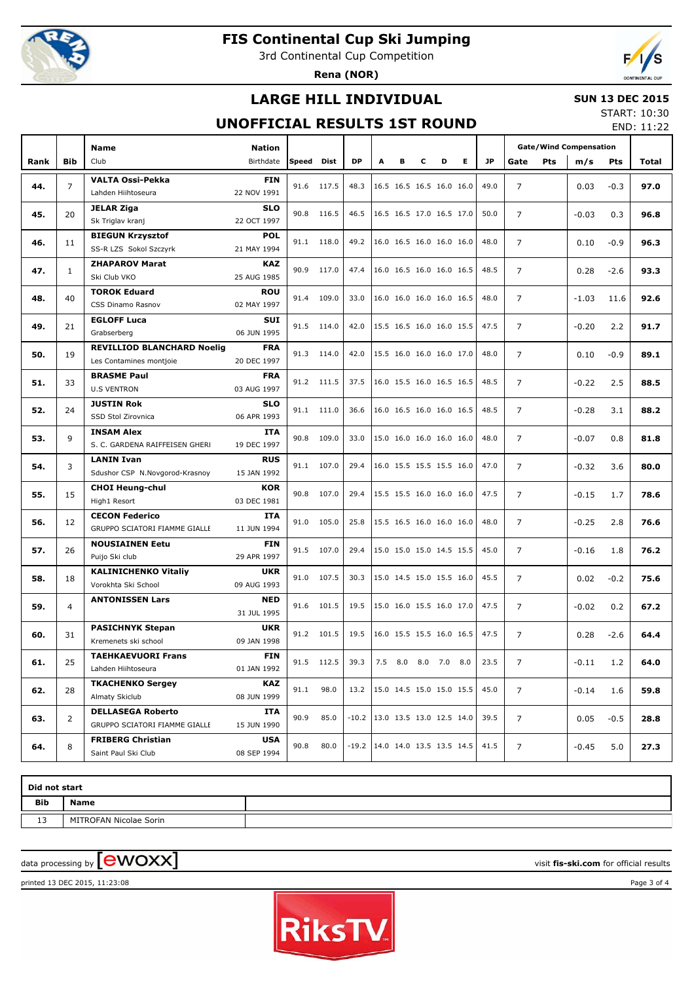

3rd Continental Cup Competition

**Rena (NOR)**



# **LARGE HILL INDIVIDUAL**

### **SUN 13 DEC 2015**

## **UNOFFICIAL RESULTS 1ST ROUND**

START: 10:30 END: 11:22

|      |              | <b>Name</b>                              | <b>Nation</b>             |            |            |                                    |   |   |   |                            |   |           | <b>Gate/Wind Compensation</b> |            |         |            |              |
|------|--------------|------------------------------------------|---------------------------|------------|------------|------------------------------------|---|---|---|----------------------------|---|-----------|-------------------------------|------------|---------|------------|--------------|
| Rank | <b>Bib</b>   | Club                                     | Birthdate                 | Speed Dist |            | <b>DP</b>                          | А | в | c | D                          | Е | <b>JP</b> | Gate                          | <b>Pts</b> | m/s     | <b>Pts</b> | Total        |
|      |              | <b>VALTA Ossi-Pekka</b>                  | <b>FIN</b>                |            |            |                                    |   |   |   |                            |   |           |                               |            |         |            |              |
| 44.  | 7            | Lahden Hiihtoseura                       | 22 NOV 1991               |            | 91.6 117.5 | 48.3                               |   |   |   | 16.5 16.5 16.5 16.0 16.0   |   | 49.0      | $\overline{7}$                |            | 0.03    | $-0.3$     | 97.0         |
|      |              | <b>JELAR Ziga</b>                        | <b>SLO</b>                |            |            |                                    |   |   |   |                            |   |           |                               |            |         |            |              |
| 45.  | 20           | Sk Triglav kranj                         | 22 OCT 1997               |            | 90.8 116.5 | 46.5                               |   |   |   | 16.5 16.5 17.0 16.5 17.0   |   | 50.0      | $\overline{7}$                |            | $-0.03$ | 0.3        | 96.8         |
|      |              | <b>BIEGUN Krzysztof</b>                  | <b>POL</b>                |            |            |                                    |   |   |   |                            |   |           |                               |            |         |            |              |
| 46.  | 11           | SS-R LZS Sokol Szczyrk                   | 21 MAY 1994               |            | 91.1 118.0 | 49.2                               |   |   |   | 16.0 16.5 16.0 16.0 16.0   |   | 48.0      | $\overline{7}$                |            | 0.10    | $-0.9$     | 96.3         |
|      |              | <b>ZHAPAROV Marat</b>                    | <b>KAZ</b>                |            |            |                                    |   |   |   |                            |   |           |                               |            |         |            |              |
| 47.  | $\mathbf{1}$ | Ski Club VKO                             | 25 AUG 1985               |            | 90.9 117.0 | 47.4                               |   |   |   | 16.0 16.5 16.0 16.0 16.5   |   | 48.5      | $\overline{7}$                |            | 0.28    | $-2.6$     | 93.3         |
|      |              | <b>TOROK Eduard</b>                      | <b>ROU</b>                |            |            |                                    |   |   |   |                            |   |           |                               |            |         |            |              |
| 48.  | 40           | CSS Dinamo Rasnov                        | 02 MAY 1997               |            | 91.4 109.0 | 33.0                               |   |   |   | 16.0 16.0 16.0 16.0 16.5   |   | 48.0      | $\overline{7}$                |            | $-1.03$ | 11.6       | 92.6         |
|      |              | <b>EGLOFF Luca</b>                       | <b>SUI</b>                |            |            |                                    |   |   |   |                            |   |           |                               |            |         |            |              |
| 49.  | 21           | Grabserberg                              | 06 JUN 1995               |            | 91.5 114.0 | 42.0                               |   |   |   | 15.5 16.5 16.0 16.0 15.5   |   | 47.5      | $\overline{7}$                |            | $-0.20$ | 2.2        | 91.7         |
| 50.  | 19           | <b>REVILLIOD BLANCHARD Noelig</b>        | <b>FRA</b>                |            | 91.3 114.0 | 42.0                               |   |   |   | 15.5 16.0 16.0 16.0 17.0   |   | 48.0      | $\overline{7}$                |            | 0.10    | $-0.9$     | 89.1         |
|      |              | Les Contamines montjoie                  | 20 DEC 1997               |            |            |                                    |   |   |   |                            |   |           |                               |            |         |            |              |
| 51.  | 33           | <b>BRASME Paul</b>                       | <b>FRA</b>                |            | 91.2 111.5 | 37.5                               |   |   |   | $16.0$ 15.5 16.0 16.5 16.5 |   | 48.5      | $\overline{7}$                |            | $-0.22$ | 2.5        |              |
|      |              | <b>U.S VENTRON</b>                       | 03 AUG 1997               |            |            |                                    |   |   |   |                            |   |           |                               |            |         |            | 88.5<br>88.2 |
| 52.  | 24           | <b>JUSTIN Rok</b>                        | <b>SLO</b>                |            | 91.1 111.0 | 36.6                               |   |   |   | 16.0 16.5 16.0 16.0 16.5   |   | 48.5      | $\overline{7}$                |            | $-0.28$ | 3.1        |              |
|      |              | SSD Stol Zirovnica                       | 06 APR 1993               |            |            |                                    |   |   |   |                            |   |           |                               |            |         |            |              |
| 53.  | 9            | <b>INSAM Alex</b>                        | <b>ITA</b>                |            | 90.8 109.0 | 33.0                               |   |   |   | 15.0 16.0 16.0 16.0 16.0   |   | 48.0      | $\overline{7}$                |            | $-0.07$ | 0.8        | 81.8         |
|      |              | S. C. GARDENA RAIFFEISEN GHERI           | 19 DEC 1997               |            |            |                                    |   |   |   |                            |   |           |                               |            |         |            |              |
| 54.  | 3            | <b>LANIN Ivan</b>                        | <b>RUS</b>                |            | 91.1 107.0 | 29.4                               |   |   |   | 16.0 15.5 15.5 15.5 16.0   |   | 47.0      | $\overline{7}$                |            | $-0.32$ | 3.6        | 80.0         |
|      |              | Sdushor CSP N.Novgorod-Krasnoy           | 15 JAN 1992               |            |            |                                    |   |   |   |                            |   |           |                               |            |         |            |              |
| 55.  | 15           | <b>CHOI Heung-chul</b>                   | <b>KOR</b>                |            | 90.8 107.0 | 29.4                               |   |   |   | 15.5 15.5 16.0 16.0 16.0   |   | 47.5      | $\overline{7}$                |            | $-0.15$ | 1.7        | 78.6         |
|      |              | High1 Resort                             | 03 DEC 1981               |            |            |                                    |   |   |   |                            |   |           |                               |            |         |            |              |
| 56.  | 12           | <b>CECON Federico</b>                    | <b>ITA</b>                |            | 91.0 105.0 | 25.8                               |   |   |   | 15.5 16.5 16.0 16.0 16.0   |   | 48.0      | $\overline{7}$                |            | $-0.25$ | 2.8        | 76.6         |
|      |              | GRUPPO SCIATORI FIAMME GIALLE            | 11 JUN 1994               |            |            |                                    |   |   |   |                            |   |           |                               |            |         |            |              |
| 57.  | 26           | <b>NOUSIAINEN Eetu</b><br>Puijo Ski club | <b>FIN</b><br>29 APR 1997 |            | 91.5 107.0 | 29.4                               |   |   |   | 15.0 15.0 15.0 14.5 15.5   |   | 45.0      | 7                             |            | $-0.16$ | 1.8        | 76.2         |
|      |              | <b>KALINICHENKO Vitaliy</b>              | <b>UKR</b>                |            |            |                                    |   |   |   |                            |   |           |                               |            |         |            |              |
| 58.  | 18           | Vorokhta Ski School                      | 09 AUG 1993               |            | 91.0 107.5 | 30.3                               |   |   |   | 15.0 14.5 15.0 15.5 16.0   |   | 45.5      | $\overline{7}$                |            | 0.02    | $-0.2$     | 75.6         |
|      |              | <b>ANTONISSEN Lars</b>                   | <b>NED</b>                |            |            |                                    |   |   |   |                            |   |           |                               |            |         |            |              |
| 59.  | 4            |                                          | 31 JUL 1995               |            | 91.6 101.5 | 19.5                               |   |   |   | 15.0 16.0 15.5 16.0 17.0   |   | 47.5      | 7                             |            | $-0.02$ | 0.2        | 67.2         |
|      |              | <b>PASICHNYK Stepan</b>                  | <b>UKR</b>                |            |            |                                    |   |   |   |                            |   |           |                               |            |         |            |              |
| 60.  | 31           | Kremenets ski school                     | 09 JAN 1998               |            | 91.2 101.5 | 19.5                               |   |   |   | 16.0 15.5 15.5 16.0 16.5   |   | 47.5      | $\overline{7}$                |            | 0.28    | $-2.6$     | 64.4         |
|      |              | <b>TAEHKAEVUORI Frans</b>                | <b>FIN</b>                |            |            |                                    |   |   |   |                            |   |           |                               |            |         |            |              |
| 61.  | 25           | Lahden Hiihtoseura                       | 01 JAN 1992               |            | 91.5 112.5 | 39.3                               |   |   |   | 7.5 8.0 8.0 7.0 8.0        |   | 23.5      | 7                             |            | $-0.11$ | 1.2        | 64.0         |
|      |              | <b>TKACHENKO Sergey</b>                  | KAZ                       |            |            |                                    |   |   |   |                            |   |           |                               |            |         |            |              |
| 62.  | 28           | Almaty Skiclub                           | 08 JUN 1999               | 91.1       | 98.0       | 13.2                               |   |   |   | 15.0 14.5 15.0 15.0 15.5   |   | 45.0      | $\overline{7}$                |            | $-0.14$ | 1.6        | 59.8         |
|      |              | <b>DELLASEGA Roberto</b>                 | ITA                       |            |            |                                    |   |   |   |                            |   |           |                               |            |         |            |              |
| 63.  | 2            | GRUPPO SCIATORI FIAMME GIALLE            | 15 JUN 1990               | 90.9       | 85.0       | $-10.2$   13.0 13.5 13.0 12.5 14.0 |   |   |   |                            |   | 39.5      | 7                             |            | 0.05    | $-0.5$     | 28.8         |
|      | 8            | <b>FRIBERG Christian</b>                 | <b>USA</b>                | 90.8       | 80.0       | $-19.2$   14.0 14.0 13.5 13.5 14.5 |   |   |   |                            |   | 41.5      | $\overline{7}$                |            |         |            |              |
| 64.  |              | Saint Paul Ski Club                      | 08 SEP 1994               |            |            |                                    |   |   |   |                            |   |           |                               |            | $-0.45$ | 5.0        | 27.3         |

| Did not start |                        |  |  |  |  |  |  |  |  |  |
|---------------|------------------------|--|--|--|--|--|--|--|--|--|
| <b>Bib</b>    | <b>Name</b>            |  |  |  |  |  |  |  |  |  |
| 13            | MITROFAN Nicolae Sorin |  |  |  |  |  |  |  |  |  |

 $\alpha$  data processing by  $\boxed{\text{ewOX}}$